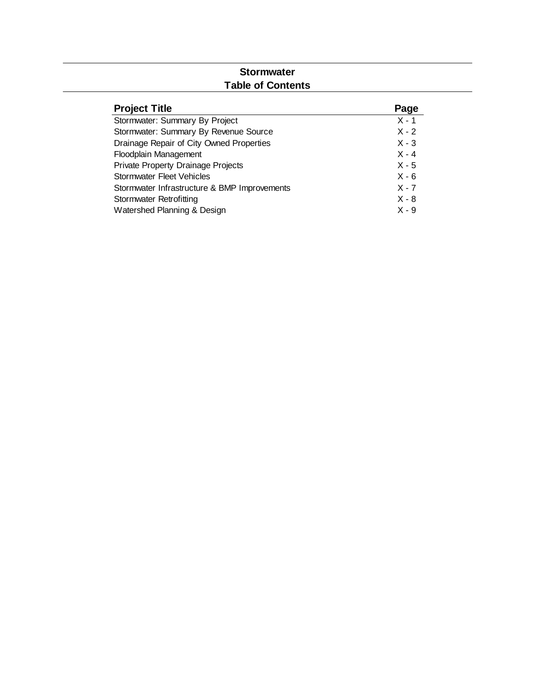#### **Stormwater Table of Contents**

| <b>Project Title</b>                         | Page    |
|----------------------------------------------|---------|
| Stormwater: Summary By Project               | $X - 1$ |
| Stormwater: Summary By Revenue Source        | $X - 2$ |
| Drainage Repair of City Owned Properties     | $X - 3$ |
| Floodplain Management                        | $X - 4$ |
| Private Property Drainage Projects           | $X - 5$ |
| Stormwater Fleet Vehicles                    | $X - 6$ |
| Stormwater Infrastructure & BMP Improvements | $X - 7$ |
| Stormwater Retrofitting                      | $X - 8$ |
| Watershed Planning & Design                  | $X - 9$ |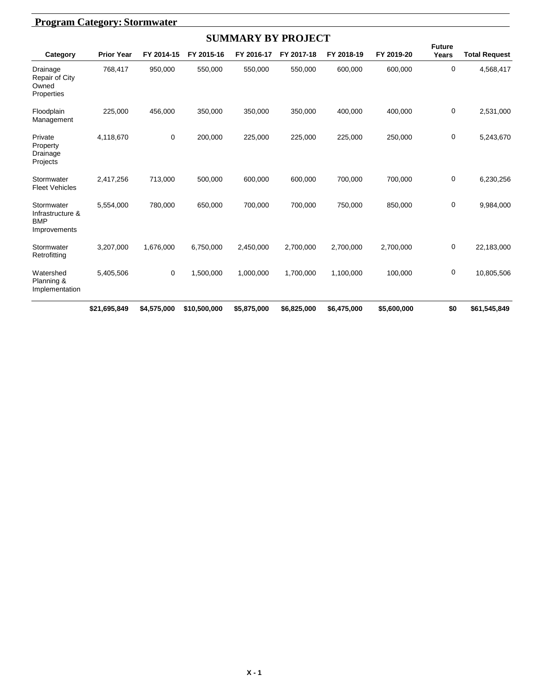|                                                              | <b>Program Category: Stormwater</b> |             |              |                           |             |             |             |                        |                      |
|--------------------------------------------------------------|-------------------------------------|-------------|--------------|---------------------------|-------------|-------------|-------------|------------------------|----------------------|
|                                                              |                                     |             |              | <b>SUMMARY BY PROJECT</b> |             |             |             |                        |                      |
| Category                                                     | <b>Prior Year</b>                   | FY 2014-15  | FY 2015-16   | FY 2016-17                | FY 2017-18  | FY 2018-19  | FY 2019-20  | <b>Future</b><br>Years | <b>Total Request</b> |
| Drainage<br><b>Repair of City</b><br>Owned<br>Properties     | 768,417                             | 950,000     | 550,000      | 550,000                   | 550,000     | 600,000     | 600,000     | 0                      | 4,568,417            |
| Floodplain<br>Management                                     | 225,000                             | 456,000     | 350,000      | 350,000                   | 350,000     | 400,000     | 400,000     | 0                      | 2,531,000            |
| Private<br>Property<br>Drainage<br>Projects                  | 4,118,670                           | 0           | 200,000      | 225,000                   | 225,000     | 225,000     | 250,000     | 0                      | 5,243,670            |
| Stormwater<br><b>Fleet Vehicles</b>                          | 2,417,256                           | 713,000     | 500,000      | 600,000                   | 600,000     | 700,000     | 700,000     | 0                      | 6,230,256            |
| Stormwater<br>Infrastructure &<br><b>BMP</b><br>Improvements | 5,554,000                           | 780,000     | 650,000      | 700,000                   | 700,000     | 750,000     | 850,000     | $\pmb{0}$              | 9,984,000            |
| Stormwater<br>Retrofitting                                   | 3,207,000                           | 1,676,000   | 6,750,000    | 2,450,000                 | 2,700,000   | 2,700,000   | 2,700,000   | 0                      | 22,183,000           |
| Watershed<br>Planning &<br>Implementation                    | 5,405,506                           | $\mathbf 0$ | 1,500,000    | 1,000,000                 | 1,700,000   | 1,100,000   | 100,000     | 0                      | 10,805,506           |
|                                                              | \$21,695,849                        | \$4,575,000 | \$10,500,000 | \$5,875,000               | \$6,825,000 | \$6,475,000 | \$5,600,000 | \$0                    | \$61,545,849         |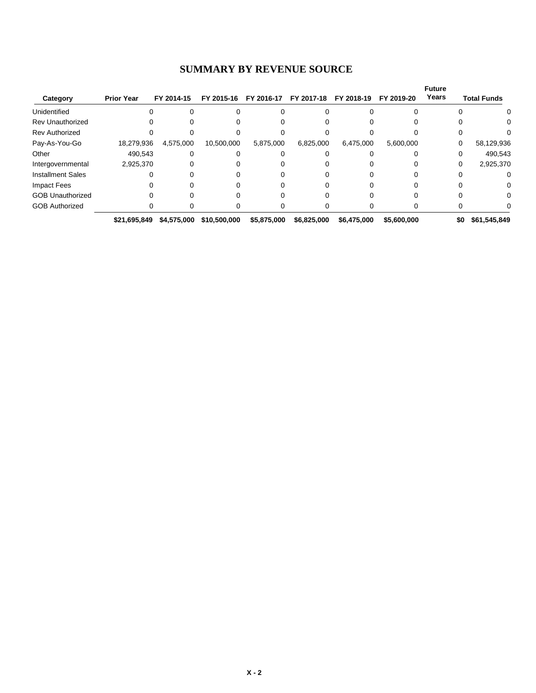#### **SUMMARY BY REVENUE SOURCE**

|                          |                   |             |              |             |             |             |             | <b>Future</b> |                    |
|--------------------------|-------------------|-------------|--------------|-------------|-------------|-------------|-------------|---------------|--------------------|
| Category                 | <b>Prior Year</b> | FY 2014-15  | FY 2015-16   | FY 2016-17  | FY 2017-18  | FY 2018-19  | FY 2019-20  | Years         | <b>Total Funds</b> |
| Unidentified             |                   |             |              |             |             |             |             |               | 0                  |
| <b>Rev Unauthorized</b>  |                   |             |              |             |             |             |             |               | 0                  |
| <b>Rev Authorized</b>    |                   |             |              |             |             |             |             |               |                    |
| Pay-As-You-Go            | 18,279,936        | 4,575,000   | 10,500,000   | 5,875,000   | 6,825,000   | 6,475,000   | 5,600,000   | 0             | 58,129,936         |
| Other                    | 490.543           |             |              |             |             |             |             |               | 490,543            |
| Intergovernmental        | 2,925,370         |             |              |             |             |             |             | 0             | 2,925,370          |
| <b>Installment Sales</b> |                   |             |              |             |             |             |             |               | 0                  |
| Impact Fees              |                   |             |              |             |             |             |             |               | 0                  |
| <b>GOB Unauthorized</b>  |                   |             |              |             |             |             |             |               | 0                  |
| <b>GOB Authorized</b>    |                   |             |              |             |             |             |             |               |                    |
|                          | \$21,695,849      | \$4,575,000 | \$10,500,000 | \$5,875,000 | \$6,825,000 | \$6,475,000 | \$5,600,000 | \$0           | \$61,545,849       |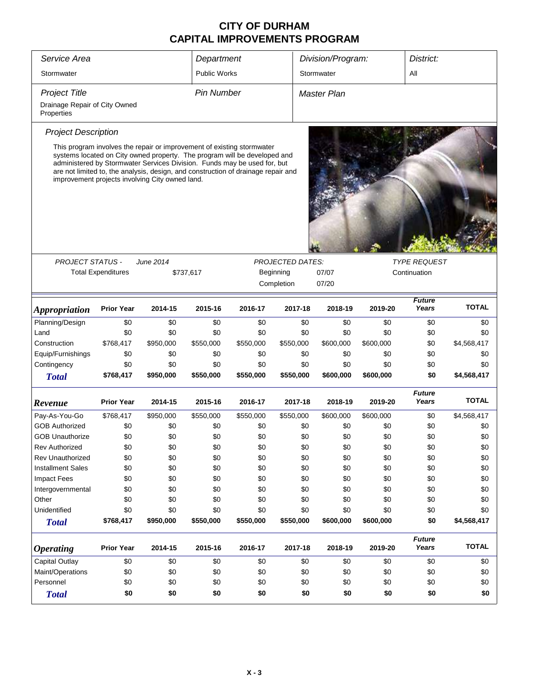| Service Area                                |                                                 |                  | Department          |                                                                                                                                                                                                                                                                                                                      | Division/Program:       | District:          |           |                        |              |  |
|---------------------------------------------|-------------------------------------------------|------------------|---------------------|----------------------------------------------------------------------------------------------------------------------------------------------------------------------------------------------------------------------------------------------------------------------------------------------------------------------|-------------------------|--------------------|-----------|------------------------|--------------|--|
| Stormwater                                  |                                                 |                  | <b>Public Works</b> |                                                                                                                                                                                                                                                                                                                      |                         | Stormwater         |           | All                    |              |  |
| <b>Project Title</b>                        |                                                 |                  | <b>Pin Number</b>   |                                                                                                                                                                                                                                                                                                                      |                         | <b>Master Plan</b> |           |                        |              |  |
| Drainage Repair of City Owned<br>Properties |                                                 |                  |                     |                                                                                                                                                                                                                                                                                                                      |                         |                    |           |                        |              |  |
| <b>Project Description</b>                  |                                                 |                  |                     |                                                                                                                                                                                                                                                                                                                      |                         |                    |           |                        |              |  |
|                                             | improvement projects involving City owned land. |                  |                     | This program involves the repair or improvement of existing stormwater<br>systems located on City owned property. The program will be developed and<br>administered by Stormwater Services Division. Funds may be used for, but<br>are not limited to, the analysis, design, and construction of drainage repair and |                         |                    |           |                        |              |  |
|                                             |                                                 |                  |                     |                                                                                                                                                                                                                                                                                                                      |                         |                    |           |                        |              |  |
| <b>PROJECT STATUS -</b>                     |                                                 | <b>June 2014</b> |                     |                                                                                                                                                                                                                                                                                                                      | <b>PROJECTED DATES:</b> |                    |           | <b>TYPE REQUEST</b>    |              |  |
|                                             | <b>Total Expenditures</b>                       |                  | \$737,617           | Beginning<br>07/07                                                                                                                                                                                                                                                                                                   |                         |                    |           | Continuation           |              |  |
|                                             |                                                 |                  |                     |                                                                                                                                                                                                                                                                                                                      | Completion              | 07/20              |           |                        |              |  |
| <i><b>Appropriation</b></i>                 | <b>Prior Year</b>                               | 2014-15          | 2015-16             | 2016-17                                                                                                                                                                                                                                                                                                              | 2017-18                 | 2018-19            | 2019-20   | <b>Future</b><br>Years | <b>TOTAL</b> |  |
| Planning/Design                             | \$0                                             | \$0              | \$0                 | \$0                                                                                                                                                                                                                                                                                                                  | \$0                     | \$0                | \$0       | \$0                    | \$0          |  |
| Land                                        | \$0                                             | \$0              | \$0                 | \$0                                                                                                                                                                                                                                                                                                                  | \$0                     | \$0                | \$0       | \$0                    | \$0          |  |
| Construction                                | \$768,417                                       | \$950,000        | \$550,000           | \$550,000                                                                                                                                                                                                                                                                                                            | \$550,000               | \$600,000          | \$600,000 | \$0                    | \$4,568,417  |  |
| Equip/Furnishings                           | \$0                                             | \$0              | \$0                 | \$0                                                                                                                                                                                                                                                                                                                  | \$0                     | \$0                | \$0       | \$0                    | \$0          |  |
| Contingency                                 | \$0                                             | \$0              | \$0                 | \$0                                                                                                                                                                                                                                                                                                                  | \$0                     | \$0                | \$0       | \$0                    | \$0          |  |
| <b>Total</b>                                | \$768,417                                       | \$950,000        | \$550,000           | \$550,000                                                                                                                                                                                                                                                                                                            | \$550,000               | \$600,000          | \$600,000 | \$0                    | \$4,568,417  |  |
| Revenue                                     | <b>Prior Year</b>                               | 2014-15          | 2015-16             | 2016-17                                                                                                                                                                                                                                                                                                              | 2017-18                 | 2018-19            | 2019-20   | <b>Future</b><br>Years | <b>TOTAL</b> |  |
| Pay-As-You-Go                               | \$768,417                                       | \$950,000        | \$550,000           | \$550,000                                                                                                                                                                                                                                                                                                            | \$550,000               | \$600,000          | \$600,000 | \$0                    | \$4,568,417  |  |
| <b>GOB Authorized</b>                       | \$0                                             | \$0              | \$0                 | \$0                                                                                                                                                                                                                                                                                                                  | \$0                     | \$0                | \$0       | \$0                    | \$0          |  |
| <b>GOB Unauthorize</b>                      | \$0                                             | \$0              | \$0                 | \$0                                                                                                                                                                                                                                                                                                                  | \$0                     | \$0                | \$0       | \$0                    | \$0          |  |
| <b>Rev Authorized</b>                       | \$0                                             | \$0              | \$0                 | \$0                                                                                                                                                                                                                                                                                                                  | \$0                     | \$0                | \$0       | \$0                    | \$0          |  |
| <b>Rev Unauthorized</b>                     | \$0                                             | \$0              | \$0                 | \$0                                                                                                                                                                                                                                                                                                                  | \$0                     | \$0                | \$0       | \$0                    | \$0          |  |
| <b>Installment Sales</b>                    | \$0                                             | \$0              | \$0                 | \$0                                                                                                                                                                                                                                                                                                                  | \$0                     | \$0                | \$0       | \$0                    | \$0          |  |
| <b>Impact Fees</b>                          | \$0                                             | \$0              | \$0                 | \$0                                                                                                                                                                                                                                                                                                                  | \$0                     | \$0                | \$0       | \$0                    | \$0          |  |
| Intergovernmental                           | \$0                                             | \$0              | \$0                 | \$0                                                                                                                                                                                                                                                                                                                  | \$0                     | \$0                | \$0       | \$0                    | \$0          |  |
| Other                                       | \$0                                             | \$0              | \$0                 | \$0                                                                                                                                                                                                                                                                                                                  | \$0                     | \$0                | \$0       | \$0                    | \$0          |  |
| Unidentified                                | \$0                                             | \$0              | \$0                 | \$0                                                                                                                                                                                                                                                                                                                  | \$0                     | \$0                | \$0       | \$0                    | \$0          |  |
| <b>Total</b>                                | \$768,417                                       | \$950,000        | \$550,000           | \$550,000                                                                                                                                                                                                                                                                                                            | \$550,000               | \$600,000          | \$600,000 | \$0                    | \$4,568,417  |  |
|                                             | <b>Prior Year</b>                               | 2014-15          | 2015-16             | 2016-17                                                                                                                                                                                                                                                                                                              | 2017-18                 | 2018-19            | 2019-20   | <b>Future</b><br>Years | <b>TOTAL</b> |  |
| <b>Operating</b>                            |                                                 |                  |                     |                                                                                                                                                                                                                                                                                                                      |                         |                    |           |                        |              |  |
| Capital Outlay                              | \$0                                             | \$0              | \$0                 | \$0                                                                                                                                                                                                                                                                                                                  | \$0                     | \$0                | \$0       | \$0                    | \$0          |  |
| Maint/Operations                            | \$0                                             | \$0              | \$0                 | \$0                                                                                                                                                                                                                                                                                                                  | \$0                     | \$0                | \$0       | \$0                    | \$0          |  |
| Personnel                                   | \$0                                             | \$0              | \$0                 | \$0                                                                                                                                                                                                                                                                                                                  | \$0                     | \$0                | \$0       | \$0                    | \$0          |  |
| <b>Total</b>                                | \$0                                             | \$0              | \$0                 | \$0                                                                                                                                                                                                                                                                                                                  | \$0                     | \$0                | \$0       | \$0                    | \$0          |  |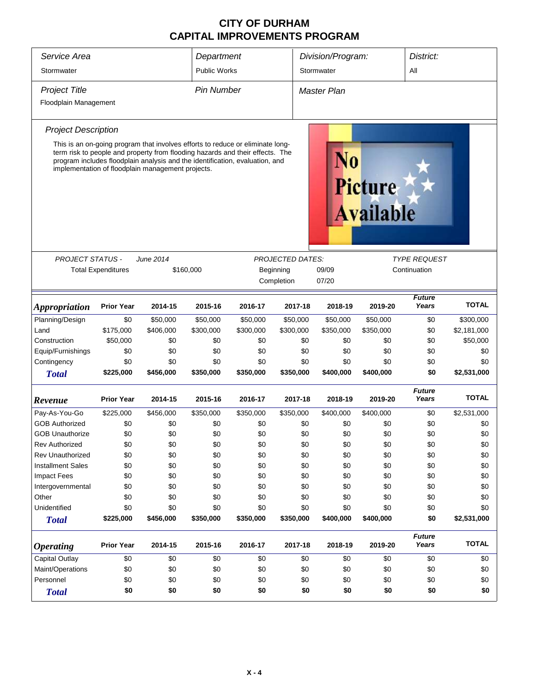| Service Area<br>Department  |                                        |                                                                                                                                                                                                                                                                                                      |                     |           |                                      | Division/Program:<br>District: |                                    |                        |              |  |  |
|-----------------------------|----------------------------------------|------------------------------------------------------------------------------------------------------------------------------------------------------------------------------------------------------------------------------------------------------------------------------------------------------|---------------------|-----------|--------------------------------------|--------------------------------|------------------------------------|------------------------|--------------|--|--|
|                             |                                        |                                                                                                                                                                                                                                                                                                      |                     |           |                                      | Stormwater<br>All              |                                    |                        |              |  |  |
| Stormwater                  |                                        |                                                                                                                                                                                                                                                                                                      | <b>Public Works</b> |           |                                      |                                |                                    |                        |              |  |  |
| <b>Project Title</b>        |                                        |                                                                                                                                                                                                                                                                                                      | <b>Pin Number</b>   |           |                                      | <b>Master Plan</b>             |                                    |                        |              |  |  |
| Floodplain Management       |                                        |                                                                                                                                                                                                                                                                                                      |                     |           |                                      |                                |                                    |                        |              |  |  |
|                             |                                        |                                                                                                                                                                                                                                                                                                      |                     |           |                                      |                                |                                    |                        |              |  |  |
| <b>Project Description</b>  |                                        |                                                                                                                                                                                                                                                                                                      |                     |           |                                      |                                |                                    |                        |              |  |  |
|                             |                                        | This is an on-going program that involves efforts to reduce or eliminate long-<br>term risk to people and property from flooding hazards and their effects. The<br>program includes floodplain analysis and the identification, evaluation, and<br>implementation of floodplain management projects. |                     |           |                                      |                                | <b>Picture</b><br><b>Available</b> |                        |              |  |  |
|                             |                                        |                                                                                                                                                                                                                                                                                                      |                     |           |                                      |                                |                                    |                        |              |  |  |
| <b>PROJECT STATUS -</b>     |                                        | June 2014                                                                                                                                                                                                                                                                                            |                     |           | <b>PROJECTED DATES:</b><br>Beginning |                                |                                    | <b>TYPE REQUEST</b>    |              |  |  |
|                             | <b>Total Expenditures</b><br>\$160,000 |                                                                                                                                                                                                                                                                                                      |                     |           |                                      | 09/09<br>07/20                 |                                    | Continuation           |              |  |  |
|                             |                                        |                                                                                                                                                                                                                                                                                                      |                     |           | Completion                           |                                |                                    |                        |              |  |  |
| <i><b>Appropriation</b></i> | <b>Prior Year</b>                      | 2014-15                                                                                                                                                                                                                                                                                              | 2015-16             | 2016-17   | 2017-18                              | 2018-19                        | 2019-20                            | <b>Future</b><br>Years | <b>TOTAL</b> |  |  |
| Planning/Design             | \$0                                    | \$50,000                                                                                                                                                                                                                                                                                             | \$50,000            | \$50,000  | \$50,000                             | \$50,000                       | \$50,000                           | \$0                    | \$300,000    |  |  |
| Land                        | \$175,000                              | \$406,000                                                                                                                                                                                                                                                                                            | \$300,000           | \$300,000 | \$300,000                            | \$350,000                      | \$350,000                          | \$0                    | \$2,181,000  |  |  |
| Construction                | \$50,000                               | \$0                                                                                                                                                                                                                                                                                                  | \$0                 | \$0       | \$0                                  | \$0                            | \$0                                | \$0                    | \$50,000     |  |  |
| Equip/Furnishings           | \$0                                    | \$0                                                                                                                                                                                                                                                                                                  | \$0                 | \$0       | \$0                                  | \$0                            | \$0                                | \$0                    | \$0          |  |  |
| Contingency                 | \$0                                    | \$0                                                                                                                                                                                                                                                                                                  | \$0                 | \$0       | \$0                                  | \$0                            | \$0                                | \$0                    | \$0          |  |  |
| <b>Total</b>                | \$225,000                              | \$456,000                                                                                                                                                                                                                                                                                            | \$350,000           | \$350,000 | \$350,000                            | \$400,000                      | \$400,000                          | \$0                    | \$2,531,000  |  |  |
| Revenue                     | <b>Prior Year</b>                      | 2014-15                                                                                                                                                                                                                                                                                              | 2015-16             | 2016-17   | 2017-18                              | 2018-19                        | 2019-20                            | <b>Future</b><br>Years | <b>TOTAL</b> |  |  |
| Pay-As-You-Go               | \$225,000                              | \$456,000                                                                                                                                                                                                                                                                                            | \$350,000           | \$350,000 | \$350,000                            | \$400,000                      | \$400,000                          | \$0                    | \$2,531,000  |  |  |
| <b>GOB Authorized</b>       | \$0                                    | \$0                                                                                                                                                                                                                                                                                                  | \$0                 | \$0       | \$0                                  | \$0                            | \$0                                | \$0                    | \$0          |  |  |
| <b>GOB Unauthorize</b>      | \$0                                    | \$0                                                                                                                                                                                                                                                                                                  | \$0                 | \$0       | \$0                                  | \$0                            | \$0                                | \$0                    | \$0          |  |  |
| <b>Rev Authorized</b>       | \$0                                    | \$0                                                                                                                                                                                                                                                                                                  | \$0                 | \$0       | \$0                                  | \$0                            | \$0                                | \$0                    | \$0          |  |  |
| <b>Rev Unauthorized</b>     | \$0                                    | \$0                                                                                                                                                                                                                                                                                                  | \$0                 | \$0       | \$0                                  | \$0                            | \$0                                | \$0                    | \$0          |  |  |
| <b>Installment Sales</b>    | \$0                                    | \$0                                                                                                                                                                                                                                                                                                  | \$0                 | \$0       | \$0                                  | \$0                            | \$0                                | \$0                    | \$0          |  |  |
| <b>Impact Fees</b>          | \$0                                    | \$0                                                                                                                                                                                                                                                                                                  | \$0                 | \$0       | \$0                                  | \$0                            | \$0                                | \$0                    | \$0          |  |  |
| Intergovernmental           | \$0                                    | \$0                                                                                                                                                                                                                                                                                                  | \$0                 | \$0       | \$0                                  | \$0                            | \$0                                | \$0                    | \$0          |  |  |
| Other                       | \$0                                    | \$0                                                                                                                                                                                                                                                                                                  | \$0                 | \$0       | \$0                                  | \$0                            | \$0                                | \$0                    | \$0          |  |  |
| Unidentified                | \$0                                    | \$0                                                                                                                                                                                                                                                                                                  | \$0                 | \$0       | \$0                                  | \$0                            | \$0                                | \$0                    | \$0          |  |  |
| <b>Total</b>                | \$225,000                              | \$456,000                                                                                                                                                                                                                                                                                            | \$350,000           | \$350,000 | \$350,000                            | \$400,000                      | \$400,000                          | \$0                    | \$2,531,000  |  |  |
|                             |                                        |                                                                                                                                                                                                                                                                                                      |                     |           |                                      |                                |                                    | <b>Future</b>          | <b>TOTAL</b> |  |  |
| <b>Operating</b>            | <b>Prior Year</b>                      | 2014-15                                                                                                                                                                                                                                                                                              | 2015-16             | 2016-17   | 2017-18                              | 2018-19                        | 2019-20                            | Years                  |              |  |  |
| <b>Capital Outlay</b>       | \$0                                    | \$0                                                                                                                                                                                                                                                                                                  | \$0                 | \$0       | \$0                                  | \$0                            | \$0                                | \$0                    | \$0          |  |  |
| Maint/Operations            | \$0                                    | \$0                                                                                                                                                                                                                                                                                                  | \$0                 | \$0       | \$0                                  | \$0                            | \$0                                | \$0                    | \$0          |  |  |
| Personnel                   | \$0                                    | \$0                                                                                                                                                                                                                                                                                                  | \$0                 | \$0       | \$0                                  | \$0                            | \$0                                | \$0                    | \$0          |  |  |
| <b>Total</b>                | \$0                                    | \$0                                                                                                                                                                                                                                                                                                  | \$0                 | \$0       | \$0                                  | \$0                            | \$0                                | \$0                    | \$0          |  |  |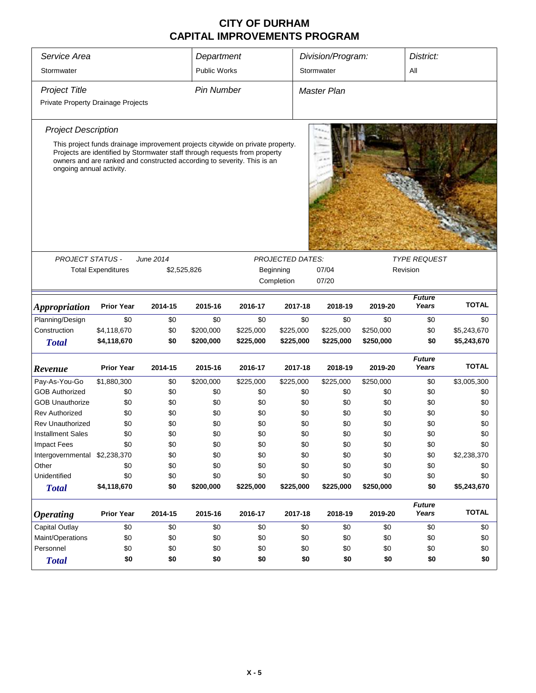| Service Area<br>Stormwater         |                                                                                                                                                                                                                                         |             | Department<br><b>Public Works</b> |           |                         | Division/Program:<br>Stormwater |           | District:<br>All                |              |  |
|------------------------------------|-----------------------------------------------------------------------------------------------------------------------------------------------------------------------------------------------------------------------------------------|-------------|-----------------------------------|-----------|-------------------------|---------------------------------|-----------|---------------------------------|--------------|--|
| <b>Project Title</b>               |                                                                                                                                                                                                                                         |             | <b>Pin Number</b>                 |           |                         | <b>Master Plan</b>              |           |                                 |              |  |
| Private Property Drainage Projects |                                                                                                                                                                                                                                         |             |                                   |           |                         |                                 |           |                                 |              |  |
|                                    |                                                                                                                                                                                                                                         |             |                                   |           |                         |                                 |           |                                 |              |  |
| <b>Project Description</b>         |                                                                                                                                                                                                                                         |             |                                   |           |                         |                                 |           |                                 |              |  |
| ongoing annual activity.           | This project funds drainage improvement projects citywide on private property.<br>Projects are identified by Stormwater staff through requests from property<br>owners and are ranked and constructed according to severity. This is an |             |                                   |           |                         |                                 |           |                                 |              |  |
|                                    |                                                                                                                                                                                                                                         |             |                                   |           |                         |                                 |           |                                 |              |  |
|                                    |                                                                                                                                                                                                                                         |             |                                   |           |                         |                                 |           |                                 |              |  |
|                                    |                                                                                                                                                                                                                                         |             |                                   |           |                         |                                 |           |                                 |              |  |
|                                    |                                                                                                                                                                                                                                         |             |                                   |           |                         |                                 |           |                                 |              |  |
|                                    |                                                                                                                                                                                                                                         |             |                                   |           |                         |                                 |           |                                 |              |  |
|                                    |                                                                                                                                                                                                                                         |             |                                   |           |                         |                                 |           |                                 |              |  |
| PROJECT STATUS -                   |                                                                                                                                                                                                                                         | June 2014   |                                   |           | <b>PROJECTED DATES:</b> | 07/04                           |           | <b>TYPE REQUEST</b><br>Revision |              |  |
|                                    | <b>Total Expenditures</b>                                                                                                                                                                                                               | \$2,525,826 |                                   |           | Beginning<br>Completion | 07/20                           |           |                                 |              |  |
|                                    |                                                                                                                                                                                                                                         |             |                                   |           |                         |                                 |           |                                 |              |  |
| <b>Appropriation</b>               | <b>Prior Year</b>                                                                                                                                                                                                                       | 2014-15     | 2015-16                           | 2016-17   | 2017-18                 | 2018-19                         | 2019-20   | <b>Future</b><br>Years          | <b>TOTAL</b> |  |
| Planning/Design                    | \$0                                                                                                                                                                                                                                     | \$0         | \$0                               | \$0       | \$0                     | \$0                             | \$0       | \$0                             | \$0          |  |
| Construction                       | \$4,118,670                                                                                                                                                                                                                             | \$0         | \$200,000                         | \$225,000 | \$225,000               | \$225,000                       | \$250,000 | \$0                             | \$5,243,670  |  |
| <b>Total</b>                       | \$4,118,670                                                                                                                                                                                                                             | \$0         | \$200,000                         | \$225,000 | \$225,000               | \$225,000                       | \$250,000 | \$0                             | \$5,243,670  |  |
| Revenue                            | <b>Prior Year</b>                                                                                                                                                                                                                       | 2014-15     | 2015-16                           | 2016-17   | 2017-18                 | 2018-19                         | 2019-20   | <b>Future</b><br>Years          | <b>TOTAL</b> |  |
| Pay-As-You-Go                      | \$1,880,300                                                                                                                                                                                                                             | \$0         | \$200,000                         | \$225,000 | \$225,000               | \$225,000                       | \$250,000 | \$0                             | \$3,005,300  |  |
| <b>GOB Authorized</b>              | \$0                                                                                                                                                                                                                                     | \$0         | \$0                               | \$0       | \$0                     | \$0                             | \$0       | \$0                             | \$0          |  |
| <b>GOB Unauthorize</b>             | \$0                                                                                                                                                                                                                                     | \$0         | \$0                               | \$0       | \$0                     | \$0                             | \$0       | \$0                             | \$0          |  |
| <b>Rev Authorized</b>              | \$0                                                                                                                                                                                                                                     | \$0         | \$0                               | \$0       | \$0                     | \$0                             | \$0       | \$0                             | \$0          |  |
| <b>Rev Unauthorized</b>            | \$0                                                                                                                                                                                                                                     | \$0         | \$0                               | \$0       | \$0                     | \$0                             | \$0       | \$0                             | \$0          |  |
| <b>Installment Sales</b>           | \$0                                                                                                                                                                                                                                     | \$0         | \$0                               | \$0       | \$0                     | \$0                             | \$0       | \$0                             | \$0          |  |
| <b>Impact Fees</b>                 | \$0                                                                                                                                                                                                                                     | \$0         | \$0                               | \$0       | \$0                     | \$0                             | \$0       | \$0                             | \$0          |  |
| Intergovernmental \$2,238,370      |                                                                                                                                                                                                                                         | \$0         | \$0                               | \$0       | \$0                     | \$0                             | \$0       | \$0                             | \$2,238,370  |  |
| Other                              | \$0                                                                                                                                                                                                                                     | \$0         | \$0                               | \$0       | \$0                     | \$0                             | \$0       | \$0                             | \$0          |  |
| Unidentified                       | \$0                                                                                                                                                                                                                                     | \$0         | \$0                               | \$0       | \$0                     | \$0                             | \$0       | \$0                             | \$0          |  |
| <b>Total</b>                       | \$4,118,670                                                                                                                                                                                                                             | \$0         | \$200,000                         | \$225,000 | \$225,000               | \$225,000                       | \$250,000 | \$0                             | \$5,243,670  |  |
| <b>Operating</b>                   | <b>Prior Year</b>                                                                                                                                                                                                                       | 2014-15     | 2015-16                           | 2016-17   | 2017-18                 | 2018-19                         | 2019-20   | <b>Future</b><br>Years          | <b>TOTAL</b> |  |
| Capital Outlay                     | \$0                                                                                                                                                                                                                                     | \$0         | \$0                               | \$0       | \$0                     | \$0                             | \$0       | \$0                             | \$0          |  |
| Maint/Operations                   | \$0                                                                                                                                                                                                                                     | \$0         | \$0                               | \$0       | \$0                     | \$0                             | \$0       | \$0                             | \$0          |  |
| Personnel                          | \$0                                                                                                                                                                                                                                     | \$0         | \$0                               | \$0       | \$0                     | \$0                             | \$0       | \$0                             | \$0          |  |
| <b>Total</b>                       | \$0                                                                                                                                                                                                                                     | \$0         | \$0                               | \$0       | \$0                     | \$0                             | \$0       | \$0                             | \$0          |  |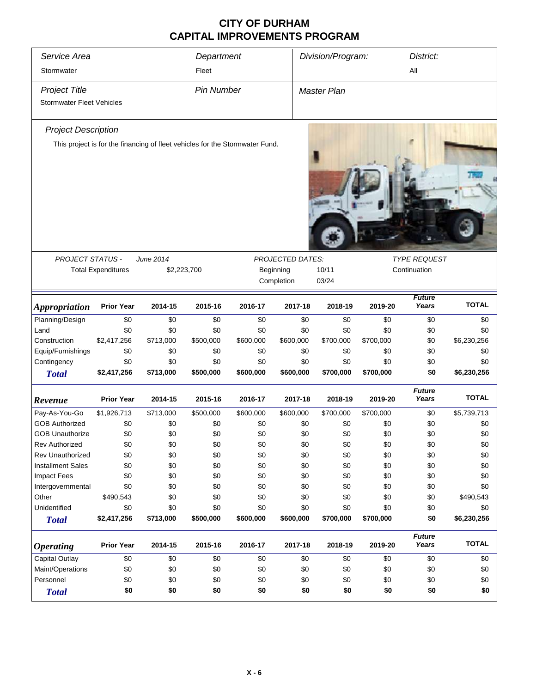| Service Area<br>Stormwater                               |                                                                              |                          | Department<br>Fleet |           |                                                    | Division/Program: |           | District:<br>All                    |              |
|----------------------------------------------------------|------------------------------------------------------------------------------|--------------------------|---------------------|-----------|----------------------------------------------------|-------------------|-----------|-------------------------------------|--------------|
| <b>Project Title</b><br><b>Stormwater Fleet Vehicles</b> |                                                                              |                          | <b>Pin Number</b>   |           |                                                    | Master Plan       |           |                                     |              |
| <b>Project Description</b>                               |                                                                              |                          |                     |           |                                                    |                   |           |                                     |              |
|                                                          | This project is for the financing of fleet vehicles for the Stormwater Fund. |                          |                     |           |                                                    |                   |           |                                     |              |
| <b>PROJECT STATUS -</b>                                  | <b>Total Expenditures</b>                                                    | June 2014<br>\$2,223,700 |                     |           | <b>PROJECTED DATES:</b><br>Beginning<br>Completion | 10/11<br>03/24    |           | <b>TYPE REQUEST</b><br>Continuation |              |
| <b>Appropriation</b>                                     | <b>Prior Year</b>                                                            | 2014-15                  | 2015-16             | 2016-17   | 2017-18                                            | 2018-19           | 2019-20   | <b>Future</b><br>Years              | <b>TOTAL</b> |
| Planning/Design                                          | \$0                                                                          | \$0                      | \$0                 | \$0       | \$0                                                | \$0               | \$0       | \$0                                 | \$0          |
| Land                                                     | \$0                                                                          | \$0                      | \$0                 | \$0       | \$0                                                | \$0               | \$0       | \$0                                 | \$0          |
| Construction                                             | \$2,417,256                                                                  | \$713,000                | \$500,000           | \$600,000 | \$600,000                                          | \$700,000         | \$700,000 | \$0                                 | \$6,230,256  |
| Equip/Furnishings                                        | \$0                                                                          | \$0                      | \$0                 | \$0       | \$0                                                | \$0               | \$0       | \$0                                 | \$0          |
| Contingency                                              | \$0                                                                          | \$0                      | \$0                 | \$0       | \$0                                                | \$0               | \$0       | \$0                                 | \$0          |
| <b>Total</b>                                             | \$2,417,256                                                                  | \$713,000                | \$500,000           | \$600,000 | \$600,000                                          | \$700,000         | \$700,000 | \$0                                 | \$6,230,256  |
| Revenue                                                  | <b>Prior Year</b>                                                            | 2014-15                  | 2015-16             | 2016-17   | 2017-18                                            | 2018-19           | 2019-20   | <b>Future</b><br>Years              | <b>TOTAL</b> |
| Pay-As-You-Go                                            | \$1,926,713                                                                  | \$713,000                | \$500,000           | \$600,000 | \$600,000                                          | \$700,000         | \$700,000 | \$0                                 | \$5,739,713  |
| <b>GOB Authorized</b>                                    | \$0                                                                          | \$0                      | \$0                 | \$0       | \$0                                                | \$0               | \$0       | \$0                                 | \$0          |
| <b>GOB Unauthorize</b>                                   | \$0                                                                          | \$0                      | \$0                 | \$0       | \$0                                                | \$0               | \$0       | \$0                                 | \$0          |
| Rev Authorized                                           | \$0                                                                          | \$0                      | \$0                 | \$0       | \$0                                                | \$0               | \$0       | \$0                                 | \$0          |
| Rev Unauthorized                                         | \$0                                                                          | \$0                      | \$0                 | \$0       | \$0                                                | \$0               | \$0       | \$0                                 | \$0          |
| <b>Installment Sales</b>                                 | \$0                                                                          | \$0                      | \$0                 | \$0       | \$0                                                | \$0               | \$0       | \$0                                 | \$0          |
| Impact Fees                                              | \$0                                                                          | \$0                      | \$0                 | \$0       | \$0                                                | \$0               | \$0       | \$0                                 | \$0          |
| Intergovernmental                                        | \$0                                                                          | \$0                      | \$0                 | \$0       | \$0                                                | \$0               | \$0       | \$0                                 | \$0          |
| Other                                                    | \$490,543                                                                    | \$0                      | \$0                 | \$0       | \$0                                                | \$0               | \$0       | \$0                                 | \$490,543    |
| Unidentified                                             | \$0                                                                          | \$0                      | \$0                 | \$0       | \$0                                                | \$0               | \$0       | \$0                                 | \$0          |
| <b>Total</b>                                             | \$2,417,256                                                                  | \$713,000                | \$500,000           | \$600,000 | \$600,000                                          | \$700,000         | \$700,000 | \$0                                 | \$6,230,256  |
| <b>Operating</b>                                         | <b>Prior Year</b>                                                            | 2014-15                  | 2015-16             | 2016-17   | 2017-18                                            | 2018-19           | 2019-20   | <b>Future</b><br>Years              | <b>TOTAL</b> |
| Capital Outlay                                           | \$0                                                                          | \$0                      | \$0                 | \$0       | \$0                                                | \$0               | \$0       | \$0                                 | \$0          |
| Maint/Operations                                         | \$0                                                                          | \$0                      | \$0                 | \$0       | \$0                                                | \$0               | \$0       | \$0                                 | \$0          |
| Personnel                                                | \$0                                                                          | \$0                      | \$0                 | \$0       | \$0                                                | \$0               | \$0       | \$0                                 | \$0          |
| <b>Total</b>                                             | \$0                                                                          | \$0                      | \$0                 | \$0       | \$0                                                | \$0               | \$0       | \$0                                 | \$0          |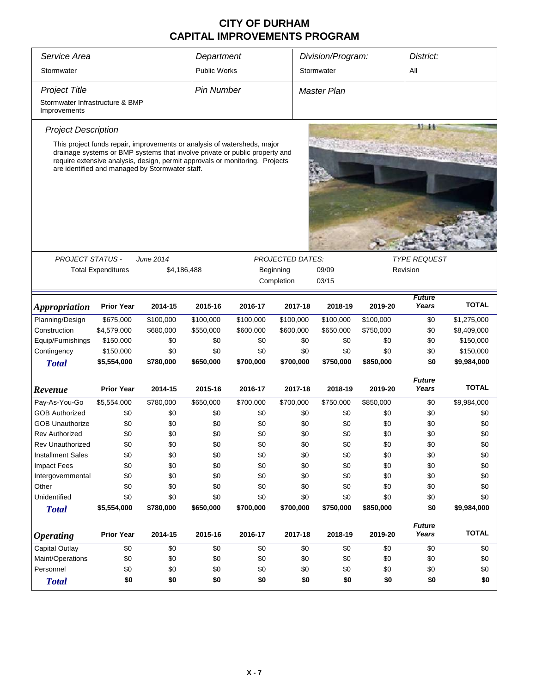| Service Area                                    | Department                                                                   |                                                                                                                                                                                                                                                                                            |                     |           |                         |     | Division/Program:<br>District: |           |                        |              |  |  |
|-------------------------------------------------|------------------------------------------------------------------------------|--------------------------------------------------------------------------------------------------------------------------------------------------------------------------------------------------------------------------------------------------------------------------------------------|---------------------|-----------|-------------------------|-----|--------------------------------|-----------|------------------------|--------------|--|--|
|                                                 |                                                                              |                                                                                                                                                                                                                                                                                            | <b>Public Works</b> |           |                         |     |                                |           |                        |              |  |  |
| Stormwater                                      |                                                                              |                                                                                                                                                                                                                                                                                            |                     |           |                         |     | Stormwater                     | All       |                        |              |  |  |
| <b>Project Title</b>                            |                                                                              |                                                                                                                                                                                                                                                                                            | <b>Pin Number</b>   |           |                         |     | <b>Master Plan</b>             |           |                        |              |  |  |
| Stormwater Infrastructure & BMP<br>Improvements |                                                                              |                                                                                                                                                                                                                                                                                            |                     |           |                         |     |                                |           |                        |              |  |  |
| <b>Project Description</b>                      |                                                                              |                                                                                                                                                                                                                                                                                            |                     |           |                         |     |                                |           |                        |              |  |  |
|                                                 |                                                                              | This project funds repair, improvements or analysis of watersheds, major<br>drainage systems or BMP systems that involve private or public property and<br>require extensive analysis, design, permit approvals or monitoring. Projects<br>are identified and managed by Stormwater staff. |                     |           |                         |     |                                |           |                        |              |  |  |
| <b>PROJECT STATUS -</b>                         |                                                                              | June 2014                                                                                                                                                                                                                                                                                  |                     |           | <b>PROJECTED DATES:</b> |     |                                |           | <b>TYPE REQUEST</b>    |              |  |  |
|                                                 |                                                                              |                                                                                                                                                                                                                                                                                            |                     |           |                         |     | 09/09                          |           | Revision               |              |  |  |
|                                                 | <b>Total Expenditures</b><br>\$4,186,488<br>Beginning<br>Completion<br>03/15 |                                                                                                                                                                                                                                                                                            |                     |           |                         |     |                                |           |                        |              |  |  |
|                                                 |                                                                              |                                                                                                                                                                                                                                                                                            |                     |           |                         |     |                                |           |                        |              |  |  |
| <b>Appropriation</b>                            | <b>Prior Year</b>                                                            | 2014-15                                                                                                                                                                                                                                                                                    | 2015-16             | 2016-17   | 2017-18                 |     | 2018-19                        | 2019-20   | <b>Future</b><br>Years | <b>TOTAL</b> |  |  |
| Planning/Design                                 | \$675,000                                                                    | \$100,000                                                                                                                                                                                                                                                                                  | \$100,000           | \$100,000 | \$100,000               |     | \$100,000                      | \$100,000 | \$0                    | \$1,275,000  |  |  |
| Construction                                    | \$4,579,000                                                                  | \$680,000                                                                                                                                                                                                                                                                                  | \$550,000           | \$600,000 | \$600,000               |     | \$650,000                      | \$750,000 | \$0                    | \$8,409,000  |  |  |
| Equip/Furnishings                               | \$150,000                                                                    | \$0                                                                                                                                                                                                                                                                                        | \$0                 | \$0       |                         | \$0 | \$0                            | \$0       | \$0                    | \$150,000    |  |  |
| Contingency                                     | \$150,000                                                                    | \$0                                                                                                                                                                                                                                                                                        | \$0                 | \$0       |                         | \$0 | \$0                            | \$0       | \$0                    | \$150,000    |  |  |
| <b>Total</b>                                    | \$5,554,000                                                                  | \$780,000                                                                                                                                                                                                                                                                                  | \$650,000           | \$700,000 | \$700,000               |     | \$750,000                      | \$850,000 | \$0                    | \$9,984,000  |  |  |
| Revenue                                         | <b>Prior Year</b>                                                            | 2014-15                                                                                                                                                                                                                                                                                    | 2015-16             | 2016-17   | 2017-18                 |     | 2018-19                        | 2019-20   | <b>Future</b><br>Years | <b>TOTAL</b> |  |  |
| Pay-As-You-Go                                   | \$5,554,000                                                                  | \$780,000                                                                                                                                                                                                                                                                                  | \$650,000           | \$700,000 | \$700,000               |     | \$750,000                      | \$850,000 | \$0                    | \$9,984,000  |  |  |
| <b>GOB Authorized</b>                           | \$0                                                                          | \$0                                                                                                                                                                                                                                                                                        | \$0                 | \$0       |                         | \$0 | \$0                            | \$0       | \$0                    | \$0          |  |  |
| <b>GOB Unauthorize</b>                          | \$0                                                                          | \$0                                                                                                                                                                                                                                                                                        | \$0                 | \$0       |                         | \$0 | \$0                            | \$0       | \$0                    | \$0          |  |  |
| <b>Rev Authorized</b>                           | \$0                                                                          | \$0                                                                                                                                                                                                                                                                                        | \$0                 | \$0       |                         | \$0 | \$0                            | \$0       | \$0                    | \$0          |  |  |
| Rev Unauthorized                                | \$0                                                                          | \$0                                                                                                                                                                                                                                                                                        | \$0                 | \$0       |                         | \$0 | \$0                            | \$0       | \$0                    | \$0          |  |  |
| <b>Installment Sales</b>                        | \$0                                                                          | \$0                                                                                                                                                                                                                                                                                        | \$0                 | \$0       |                         | \$0 | \$0                            | \$0       | \$0                    | \$0          |  |  |
| <b>Impact Fees</b>                              | \$0                                                                          | \$0                                                                                                                                                                                                                                                                                        | \$0                 | \$0       |                         | \$0 | \$0                            | \$0       | \$0                    | \$0          |  |  |
| Intergovernmental                               | \$0                                                                          | \$0                                                                                                                                                                                                                                                                                        | \$0                 | \$0       |                         | \$0 | \$0                            | \$0       | \$0                    | \$0          |  |  |
| Other                                           | \$0                                                                          | \$0                                                                                                                                                                                                                                                                                        | \$0                 | \$0       |                         | \$0 | \$0                            | \$0       | \$0                    | \$0          |  |  |
| Unidentified                                    | \$0                                                                          | \$0                                                                                                                                                                                                                                                                                        | \$0                 | \$0       |                         | \$0 | \$0                            | \$0       | \$0                    | \$0          |  |  |
| <b>Total</b>                                    | \$5,554,000                                                                  | \$780,000                                                                                                                                                                                                                                                                                  | \$650,000           | \$700,000 | \$700,000               |     | \$750,000                      | \$850,000 | \$0                    | \$9,984,000  |  |  |
| <i><b>Operating</b></i>                         | <b>Prior Year</b>                                                            | 2014-15                                                                                                                                                                                                                                                                                    | 2015-16             | 2016-17   | 2017-18                 |     | 2018-19                        | 2019-20   | <b>Future</b><br>Years | <b>TOTAL</b> |  |  |
| Capital Outlay                                  | \$0                                                                          | \$0                                                                                                                                                                                                                                                                                        | \$0                 | \$0       |                         | \$0 | \$0                            | \$0       | \$0                    | \$0          |  |  |
| Maint/Operations                                | \$0                                                                          | \$0                                                                                                                                                                                                                                                                                        | \$0                 | \$0       |                         | \$0 | \$0                            | \$0       | \$0                    | \$0          |  |  |
| Personnel                                       | \$0                                                                          | \$0                                                                                                                                                                                                                                                                                        | \$0                 | \$0       |                         | \$0 | \$0                            | \$0       | \$0                    | \$0          |  |  |
| <b>Total</b>                                    | \$0                                                                          | \$0                                                                                                                                                                                                                                                                                        | \$0                 | \$0       |                         | \$0 | \$0                            | \$0       | \$0                    | \$0          |  |  |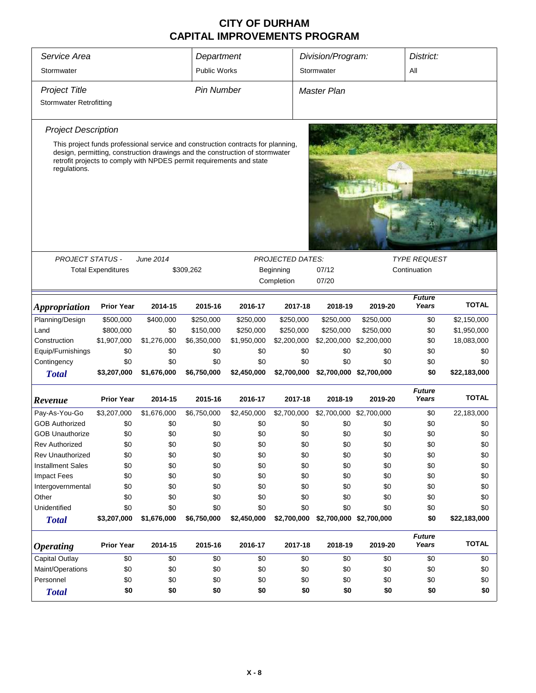| Service Area                   |                           |             | Department                                                           |                                                                                  |                         | Division/Program: |                         | District:              |              |  |
|--------------------------------|---------------------------|-------------|----------------------------------------------------------------------|----------------------------------------------------------------------------------|-------------------------|-------------------|-------------------------|------------------------|--------------|--|
| Stormwater                     |                           |             | <b>Public Works</b>                                                  |                                                                                  |                         | Stormwater        |                         | All                    |              |  |
| <b>Project Title</b>           |                           |             |                                                                      | <b>Pin Number</b><br><b>Master Plan</b>                                          |                         |                   |                         |                        |              |  |
| <b>Stormwater Retrofitting</b> |                           |             |                                                                      |                                                                                  |                         |                   |                         |                        |              |  |
| <b>Project Description</b>     |                           |             |                                                                      |                                                                                  |                         |                   |                         |                        |              |  |
|                                |                           |             |                                                                      | This project funds professional service and construction contracts for planning, |                         |                   |                         |                        |              |  |
| regulations.                   |                           |             | retrofit projects to comply with NPDES permit requirements and state | design, permitting, construction drawings and the construction of stormwater     |                         |                   |                         |                        |              |  |
|                                |                           |             |                                                                      |                                                                                  |                         |                   |                         |                        |              |  |
|                                |                           |             |                                                                      |                                                                                  |                         |                   |                         |                        |              |  |
|                                |                           |             |                                                                      |                                                                                  |                         |                   |                         |                        |              |  |
|                                |                           |             |                                                                      |                                                                                  |                         |                   |                         |                        |              |  |
|                                |                           |             |                                                                      |                                                                                  |                         |                   |                         |                        |              |  |
|                                |                           |             |                                                                      |                                                                                  |                         |                   |                         |                        |              |  |
| <b>PROJECT STATUS -</b>        |                           | June 2014   |                                                                      |                                                                                  | <b>PROJECTED DATES:</b> |                   |                         | <i>TYPE REQUEST</i>    |              |  |
|                                | <b>Total Expenditures</b> |             | \$309,262                                                            |                                                                                  | Beginning               | 07/12             |                         | Continuation           |              |  |
|                                |                           |             |                                                                      |                                                                                  | Completion              | 07/20             |                         |                        |              |  |
|                                |                           |             |                                                                      |                                                                                  |                         |                   |                         |                        |              |  |
| <i><b>Appropriation</b></i>    | <b>Prior Year</b>         | 2014-15     | 2015-16                                                              | 2016-17                                                                          | 2017-18                 | 2018-19           | 2019-20                 | <b>Future</b><br>Years | <b>TOTAL</b> |  |
| Planning/Design                | \$500,000                 | \$400,000   | \$250,000                                                            | \$250,000                                                                        | \$250,000               | \$250,000         | \$250,000               | \$0                    | \$2,150,000  |  |
| Land                           | \$800,000                 | \$0         | \$150,000                                                            | \$250,000                                                                        | \$250,000               | \$250,000         | \$250,000               | \$0                    | \$1,950,000  |  |
| Construction                   | \$1,907,000               | \$1,276,000 | \$6,350,000                                                          | \$1,950,000                                                                      | \$2,200,000             | \$2,200,000       | \$2,200,000             | \$0                    | 18,083,000   |  |
| Equip/Furnishings              | \$0                       | \$0         | \$0                                                                  | \$0                                                                              | \$0                     | \$0               | \$0                     | \$0                    | \$0          |  |
| Contingency                    | \$0                       | \$0         | \$0                                                                  | \$0                                                                              | \$0                     | \$0               | \$0                     | \$0                    | \$0          |  |
| <b>Total</b>                   | \$3,207,000               | \$1,676,000 | \$6,750,000                                                          | \$2,450,000                                                                      | \$2,700,000             |                   | \$2,700,000 \$2,700,000 | \$0                    | \$22,183,000 |  |
|                                |                           |             |                                                                      |                                                                                  |                         |                   |                         | <b>Future</b>          |              |  |
| Revenue                        | <b>Prior Year</b>         | 2014-15     | 2015-16                                                              | 2016-17                                                                          | 2017-18                 | 2018-19           | 2019-20                 | Years                  | <b>TOTAL</b> |  |
| Pay-As-You-Go                  | \$3,207,000               | \$1,676,000 | \$6,750,000                                                          | \$2,450,000                                                                      | \$2,700,000             | \$2,700,000       | \$2,700,000             | \$0                    | 22,183,000   |  |
| <b>GOB Authorized</b>          | \$0                       | \$0         | \$0                                                                  | \$0                                                                              | \$0                     | \$0               | \$0                     | \$0                    | \$0          |  |
| <b>GOB Unauthorize</b>         | \$0                       | \$0         | \$0                                                                  | \$0                                                                              | \$0                     | \$0               | \$0                     | \$0                    | \$0          |  |
| <b>Rev Authorized</b>          | \$0                       | \$0         | \$0                                                                  | \$0                                                                              | \$0                     | \$0               | \$0                     | \$0                    | \$0          |  |
| <b>Rev Unauthorized</b>        | \$0                       | \$0         | \$0                                                                  | \$0                                                                              | \$0                     | \$0               | \$0                     | \$0                    | \$0          |  |
| <b>Installment Sales</b>       | \$0                       | \$0         | \$0                                                                  | \$0                                                                              | \$0                     | \$0               | \$0                     | \$0                    | \$0          |  |
| <b>Impact Fees</b>             | \$0                       | \$0         | \$0                                                                  | \$0                                                                              | \$0                     | \$0               | \$0                     | \$0                    | \$0          |  |
| Intergovernmental              | \$0                       | \$0         | \$0                                                                  | \$0                                                                              | \$0                     | \$0               | \$0                     | \$0                    | \$0          |  |
| Other                          | \$0                       | \$0         | \$0                                                                  | \$0                                                                              | \$0                     | \$0               | \$0                     | \$0                    | \$0          |  |
| Unidentified                   | \$0                       | \$0         | \$0                                                                  | \$0                                                                              | \$0                     | \$0               | \$0                     | \$0                    | \$0          |  |
| <b>Total</b>                   | \$3,207,000               | \$1,676,000 | \$6,750,000                                                          | \$2,450,000                                                                      | \$2,700,000             |                   | \$2,700,000 \$2,700,000 | \$0                    | \$22,183,000 |  |
| <b>Operating</b>               | <b>Prior Year</b>         | 2014-15     | 2015-16                                                              | 2016-17                                                                          | 2017-18                 | 2018-19           | 2019-20                 | <b>Future</b><br>Years | <b>TOTAL</b> |  |
| <b>Capital Outlay</b>          | \$0                       | \$0         | \$0                                                                  | \$0                                                                              | \$0                     | \$0               | \$0                     | \$0                    | \$0          |  |
| Maint/Operations               | \$0                       | \$0         | \$0                                                                  | \$0                                                                              | \$0                     | \$0               | \$0                     | \$0                    | \$0          |  |
| Personnel                      | \$0                       | \$0         | \$0                                                                  | \$0                                                                              | \$0                     | \$0               | \$0                     | \$0                    | \$0          |  |
| <b>Total</b>                   | \$0                       | \$0         | \$0                                                                  | \$0                                                                              | \$0                     | \$0               | \$0                     | \$0                    | \$0          |  |
|                                |                           |             |                                                                      |                                                                                  |                         |                   |                         |                        |              |  |